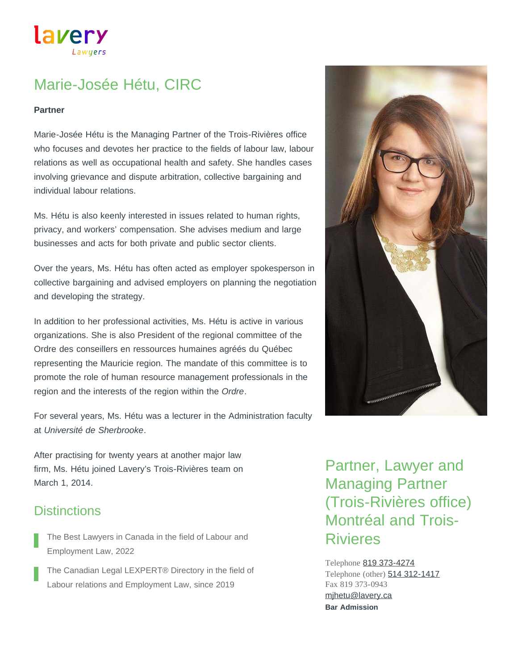lavery

# Marie-Josée Hétu, CIRC

#### **Partner**

Marie-Josée Hétu is the Managing Partner of the Trois-Rivières office who focuses and devotes her practice to the fields of labour law, labour relations as well as occupational health and safety. She handles cases involving grievance and dispute arbitration, collective bargaining and individual labour relations.

Ms. Hétu is also keenly interested in issues related to human rights, privacy, and workers' compensation. She advises medium and large businesses and acts for both private and public sector clients.

Over the years, Ms. Hétu has often acted as employer spokesperson in collective bargaining and advised employers on planning the negotiation and developing the strategy.

In addition to her professional activities, Ms. Hétu is active in various organizations. She is also President of the regional committee of the Ordre des conseillers en ressources humaines agréés du Québec representing the Mauricie region. The mandate of this committee is to promote the role of human resource management professionals in the region and the interests of the region within the *Ordre*.

For several years, Ms. Hétu was a lecturer in the Administration faculty at *Université de Sherbrooke*.

After practising for twenty years at another major law firm, Ms. Hétu joined Lavery's Trois-Rivières team on March 1, 2014.

### **Distinctions**

- The Best Lawyers in Canada in the field of Labour and Employment Law, 2022
- The Canadian Legal LEXPERT® Directory in the field of Labour relations and Employment Law, since 2019

Partner, Lawyer and Managing Partner (Trois-Rivières office) Montréal and Trois-Rivieres

Telephone [819 373-4274](tel:819-373-4274) Telephone (other) **[514 312-1417](tel:514-312-1417)** Fax 819 373-0943 **Bar Admission** [mjhetu@lavery.ca](mailto:mjhetu@lavery.ca)